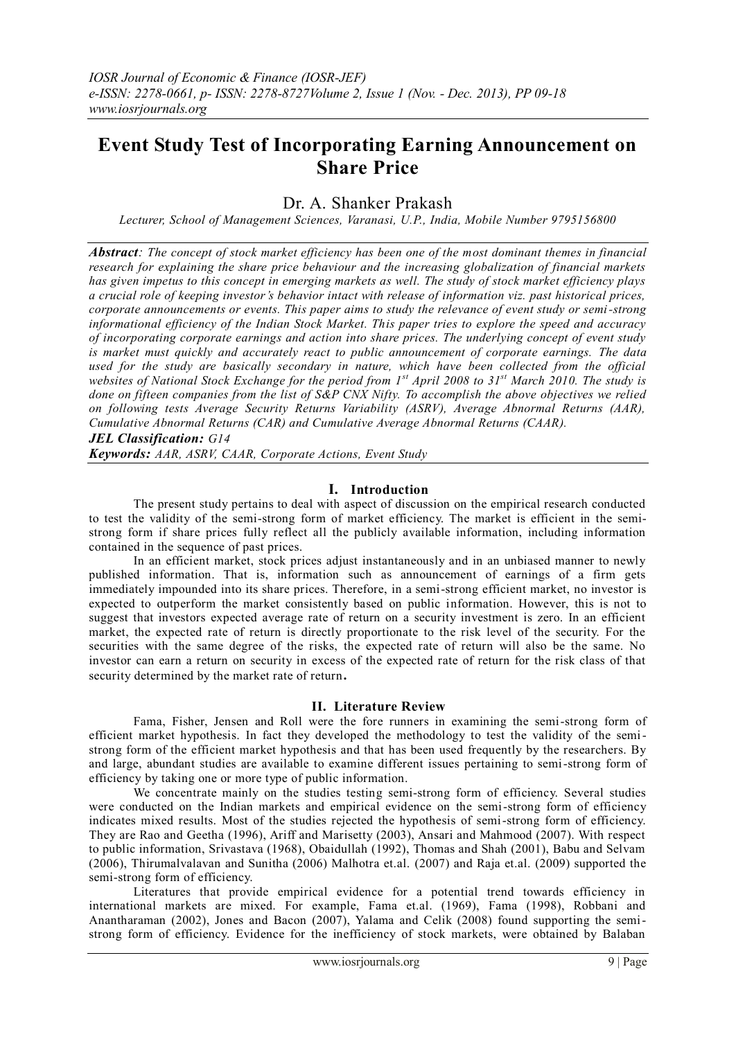# **Event Study Test of Incorporating Earning Announcement on Share Price**

## Dr. A. Shanker Prakash

*Lecturer, School of Management Sciences, Varanasi, U.P., India, Mobile Number 9795156800*

*Abstract: The concept of stock market efficiency has been one of the most dominant themes in financial research for explaining the share price behaviour and the increasing globalization of financial markets has given impetus to this concept in emerging markets as well. The study of stock market efficiency plays a crucial role of keeping investor's behavior intact with release of information viz. past historical prices, corporate announcements or events. This paper aims to study the relevance of event study or semi-strong informational efficiency of the Indian Stock Market. This paper tries to explore the speed and accuracy of incorporating corporate earnings and action into share prices. The underlying concept of event study is market must quickly and accurately react to public announcement of corporate earnings. The data used for the study are basically secondary in nature, which have been collected from the official websites of National Stock Exchange for the period from 1st April 2008 to 31st March 2010. The study is done on fifteen companies from the list of S&P CNX Nifty. To accomplish the above objectives we relied on following tests Average Security Returns Variability (ASRV), Average Abnormal Returns (AAR), Cumulative Abnormal Returns (CAR) and Cumulative Average Abnormal Returns (CAAR).* 

*JEL Classification: G14*

*Keywords: AAR, ASRV, CAAR, Corporate Actions, Event Study*

#### **I. Introduction**

The present study pertains to deal with aspect of discussion on the empirical research conducted to test the validity of the semi-strong form of market efficiency. The market is efficient in the semistrong form if share prices fully reflect all the publicly available information, including information contained in the sequence of past prices.

In an efficient market, stock prices adjust instantaneously and in an unbiased manner to newly published information. That is, information such as announcement of earnings of a firm gets immediately impounded into its share prices. Therefore, in a semi-strong efficient market, no investor is expected to outperform the market consistently based on public information. However, this is not to suggest that investors expected average rate of return on a security investment is zero. In an efficient market, the expected rate of return is directly proportionate to the risk level of the security. For the securities with the same degree of the risks, the expected rate of return will also be the same. No investor can earn a return on security in excess of the expected rate of return for the risk class of that security determined by the market rate of return**.**

#### **II. Literature Review**

Fama, Fisher, Jensen and Roll were the fore runners in examining the semi-strong form of efficient market hypothesis. In fact they developed the methodology to test the validity of the semistrong form of the efficient market hypothesis and that has been used frequently by the researchers. By and large, abundant studies are available to examine different issues pertaining to semi-strong form of efficiency by taking one or more type of public information.

We concentrate mainly on the studies testing semi-strong form of efficiency. Several studies were conducted on the Indian markets and empirical evidence on the semi-strong form of efficiency indicates mixed results. Most of the studies rejected the hypothesis of semi-strong form of efficiency. They are Rao and Geetha (1996), Ariff and Marisetty (2003), Ansari and Mahmood (2007). With respect to public information, Srivastava (1968), Obaidullah (1992), Thomas and Shah (2001), Babu and Selvam (2006), Thirumalvalavan and Sunitha (2006) Malhotra et.al. (2007) and Raja et.al. (2009) supported the semi-strong form of efficiency.

Literatures that provide empirical evidence for a potential trend towards efficiency in international markets are mixed. For example, Fama et.al. (1969), Fama (1998), Robbani and Anantharaman (2002), Jones and Bacon (2007), Yalama and Celik (2008) found supporting the semistrong form of efficiency. Evidence for the inefficiency of stock markets, were obtained by Balaban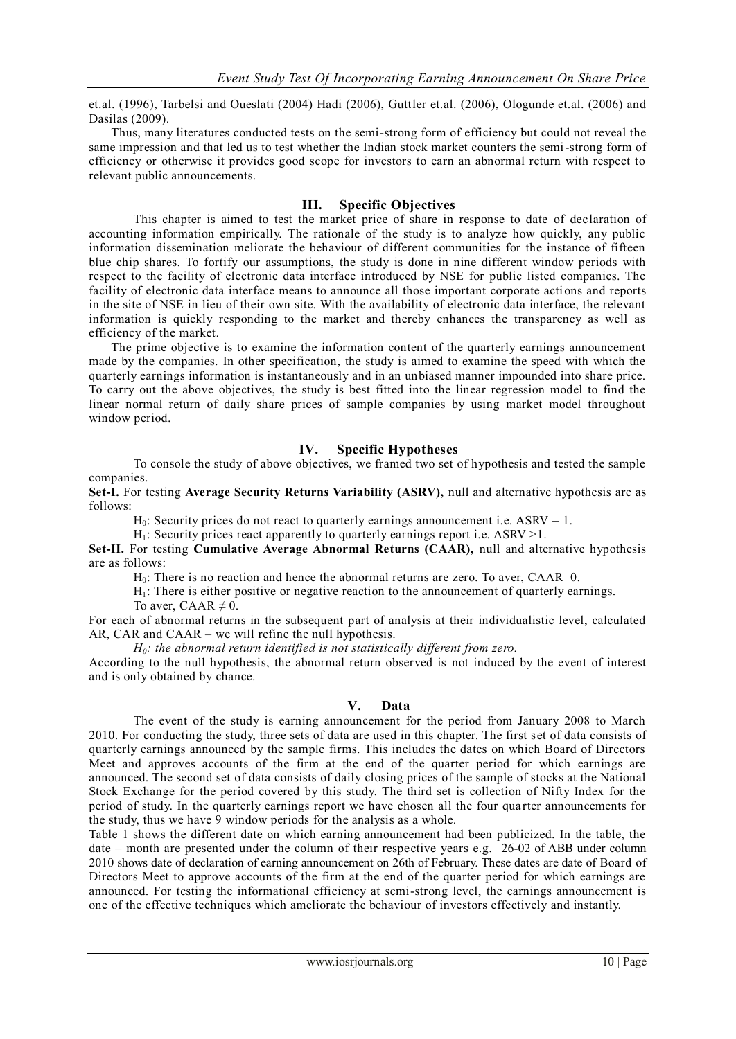et.al. (1996), Tarbelsi and Oueslati (2004) Hadi (2006), Guttler et.al. (2006), Ologunde et.al. (2006) and Dasilas (2009).

Thus, many literatures conducted tests on the semi-strong form of efficiency but could not reveal the same impression and that led us to test whether the Indian stock market counters the semi-strong form of efficiency or otherwise it provides good scope for investors to earn an abnormal return with respect to relevant public announcements.

### **III. Specific Objectives**

This chapter is aimed to test the market price of share in response to date of declaration of accounting information empirically. The rationale of the study is to analyze how quickly, any public information dissemination meliorate the behaviour of different communities for the instance of fifteen blue chip shares. To fortify our assumptions, the study is done in nine different window periods with respect to the facility of electronic data interface introduced by NSE for public listed companies. The facility of electronic data interface means to announce all those important corporate actions and reports in the site of NSE in lieu of their own site. With the availability of electronic data interface, the relevant information is quickly responding to the market and thereby enhances the transparency as well as efficiency of the market.

The prime objective is to examine the information content of the quarterly earnings announcement made by the companies. In other specification, the study is aimed to examine the speed with which the quarterly earnings information is instantaneously and in an unbiased manner impounded into share price. To carry out the above objectives, the study is best fitted into the linear regression model to find the linear normal return of daily share prices of sample companies by using market model throughout window period.

### **IV. Specific Hypotheses**

To console the study of above objectives, we framed two set of hypothesis and tested the sample companies.

**Set-I.** For testing **Average Security Returns Variability (ASRV),** null and alternative hypothesis are as follows:

 $H_0$ : Security prices do not react to quarterly earnings announcement i.e. ASRV = 1.

 $H_1$ : Security prices react apparently to quarterly earnings report i.e. ASRV > 1.

**Set-II.** For testing **Cumulative Average Abnormal Returns (CAAR),** null and alternative hypothesis are as follows:

 $H<sub>0</sub>$ : There is no reaction and hence the abnormal returns are zero. To aver,  $CAAR=0$ .

H1: There is either positive or negative reaction to the announcement of quarterly earnings.

To aver, CAAR  $\neq$  0.

For each of abnormal returns in the subsequent part of analysis at their individualistic level, calculated AR, CAR and CAAR – we will refine the null hypothesis.

*H0: the abnormal return identified is not statistically different from zero.*

According to the null hypothesis, the abnormal return observed is not induced by the event of interest and is only obtained by chance.

#### **V. Data**

The event of the study is earning announcement for the period from January 2008 to March 2010. For conducting the study, three sets of data are used in this chapter. The first set of data consists of quarterly earnings announced by the sample firms. This includes the dates on which Board of Directors Meet and approves accounts of the firm at the end of the quarter period for which earnings are announced. The second set of data consists of daily closing prices of the sample of stocks at the National Stock Exchange for the period covered by this study. The third set is collection of Nifty Index for the period of study. In the quarterly earnings report we have chosen all the four qua rter announcements for the study, thus we have 9 window periods for the analysis as a whole.

Table 1 shows the different date on which earning announcement had been publicized. In the table, the date – month are presented under the column of their respective years e.g. 26-02 of ABB under column 2010 shows date of declaration of earning announcement on 26th of February. These dates are date of Board of Directors Meet to approve accounts of the firm at the end of the quarter period for which earnings are announced. For testing the informational efficiency at semi-strong level, the earnings announcement is one of the effective techniques which ameliorate the behaviour of investors effectively and instantly.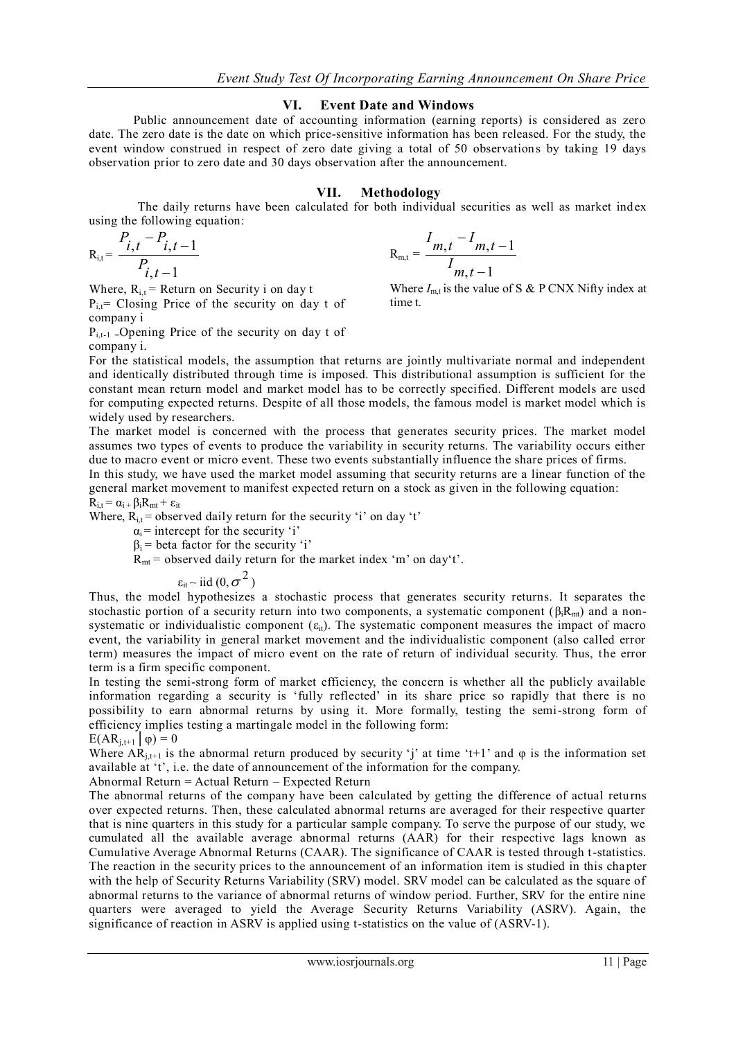#### **VI. Event Date and Windows**

Public announcement date of accounting information (earning reports) is considered as zero date. The zero date is the date on which price-sensitive information has been released. For the study, the event window construed in respect of zero date giving a total of 50 observations by taking 19 days observation prior to zero date and 30 days observation after the announcement.

#### **VII. Methodology**

The daily returns have been calculated for both individual securities as well as market index using the following equation:

$$
R_{i,t} = \frac{P_{i,t} - P_{i,t-1}}{P_{i,t-1}}
$$

Where,  $R_{i,t}$  = Return on Security i on day t  $P_{i,t}$ = Closing Price of the security on day t of

company i

 $P_{i,t-1}$  = Opening Price of the security on day t of company i.

$$
R_{m,t} = \frac{I_{m,t} - I_{m,t-1}}{I_{m,t-1}}
$$
  
Where  $I_{m,t}$  is the value of S & P

*CNX Nifty index at* time t.

For the statistical models, the assumption that returns are jointly multivariate normal and independent and identically distributed through time is imposed. This distributional assumption is sufficient for the constant mean return model and market model has to be correctly specified. Different models are used for computing expected returns. Despite of all those models, the famous model is market model which is widely used by researchers.

The market model is concerned with the process that generates security prices. The market model assumes two types of events to produce the variability in security returns. The variability occurs either due to macro event or micro event. These two events substantially influence the share prices of firms.

In this study, we have used the market model assuming that security returns are a linear function of the general market movement to manifest expected return on a stock as given in the following equation:  $R_{i,t} = \alpha_{i} + \beta_i R_{mt} + \varepsilon_{it}$ 

Where,  $R_{i,t}$  = observed daily return for the security 'i' on day 't'

 $\alpha_i$  = intercept for the security 'i'

 $\beta_i$  = beta factor for the security 'i'

 $R_{mt}$  = observed daily return for the market index 'm' on day't'.

 $\varepsilon_{it} \sim$  iid  $(0, \sigma^2)$ 

Thus, the model hypothesizes a stochastic process that generates security returns. It separates the stochastic portion of a security return into two components, a systematic component ( $\beta_i R_{mi}$ ) and a nonsystematic or individualistic component  $(\epsilon_{it})$ . The systematic component measures the impact of macro event, the variability in general market movement and the individualistic component (also called error term) measures the impact of micro event on the rate of return of individual security. Thus, the error term is a firm specific component.

In testing the semi-strong form of market efficiency, the concern is whether all the publicly available information regarding a security is 'fully reflected' in its share price so rapidly that there is no possibility to earn abnormal returns by using it. More formally, testing the semi-strong form of efficiency implies testing a martingale model in the following form:

$$
E(AR_{j,t+1} | \varphi) = 0
$$

Where  $AR_{i,t+1}$  is the abnormal return produced by security 'j' at time 't+1' and  $\varphi$  is the information set available at 't', i.e. the date of announcement of the information for the company.

Abnormal Return = Actual Return – Expected Return

The abnormal returns of the company have been calculated by getting the difference of actual returns over expected returns. Then, these calculated abnormal returns are averaged for their respective quarter that is nine quarters in this study for a particular sample company. To serve the purpose of our study, we cumulated all the available average abnormal returns (AAR) for their respective lags known as Cumulative Average Abnormal Returns (CAAR). The significance of CAAR is tested through t-statistics. The reaction in the security prices to the announcement of an information item is studied in this cha pter with the help of Security Returns Variability (SRV) model. SRV model can be calculated as the square of abnormal returns to the variance of abnormal returns of window period. Further, SRV for the entire nine quarters were averaged to yield the Average Security Returns Variability (ASRV). Again, the significance of reaction in ASRV is applied using t-statistics on the value of (ASRV-1).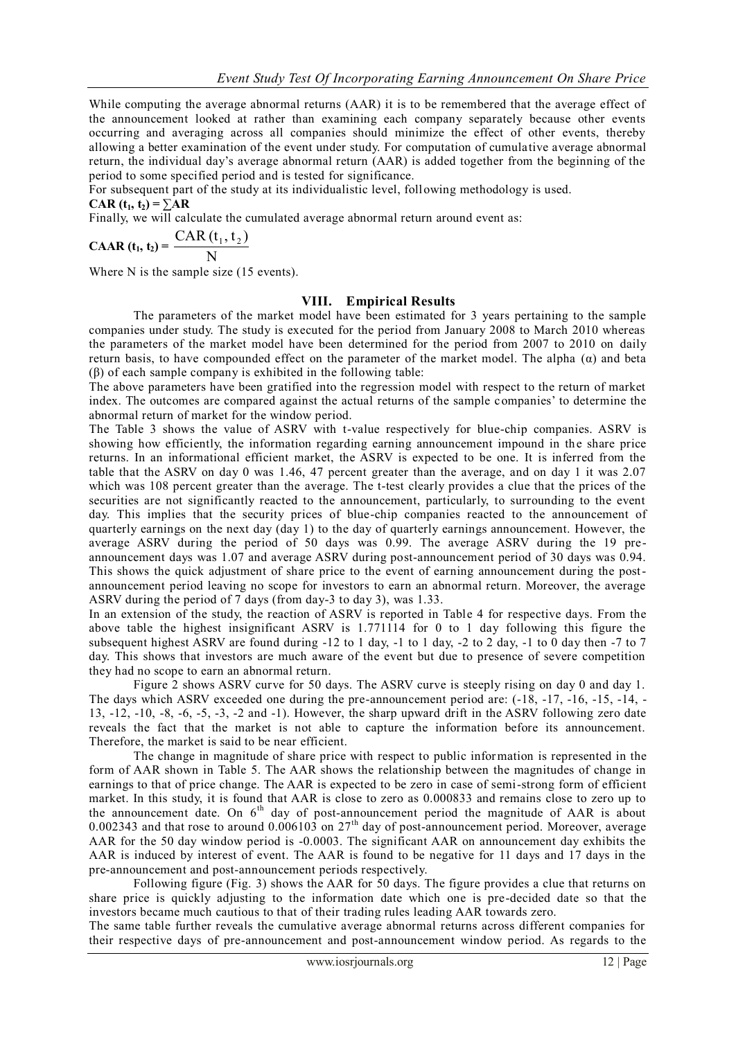While computing the average abnormal returns (AAR) it is to be remembered that the average effect of the announcement looked at rather than examining each company separately because other events occurring and averaging across all companies should minimize the effect of other events, thereby allowing a better examination of the event under study. For computation of cumulative average abnormal return, the individual day"s average abnormal return (AAR) is added together from the beginning of the period to some specified period and is tested for significance.

For subsequent part of the study at its individualistic level, following methodology is used.

 $CAR$   $(t_1, t_2) = \sum AR$ 

Finally, we will calculate the cumulated average abnormal return around event as:

$$
CAAR(t_1, t_2) = \frac{CAR(t_1, t_2)}{N}
$$

Where N is the sample size (15 events).

#### **VIII. Empirical Results**

The parameters of the market model have been estimated for 3 years pertaining to the sample companies under study. The study is executed for the period from January 2008 to March 2010 whereas the parameters of the market model have been determined for the period from 2007 to 2010 on daily return basis, to have compounded effect on the parameter of the market model. The alpha (α) and beta (β) of each sample company is exhibited in the following table:

The above parameters have been gratified into the regression model with respect to the return of market index. The outcomes are compared against the actual returns of the sample companies' to determine the abnormal return of market for the window period.

The Table 3 shows the value of ASRV with t-value respectively for blue-chip companies. ASRV is showing how efficiently, the information regarding earning announcement impound in the share price returns. In an informational efficient market, the ASRV is expected to be one. It is inferred from the table that the ASRV on day 0 was 1.46, 47 percent greater than the average, and on day 1 it was 2.07 which was 108 percent greater than the average. The t-test clearly provides a clue that the prices of the securities are not significantly reacted to the announcement, particularly, to surrounding to the event day. This implies that the security prices of blue-chip companies reacted to the announcement of quarterly earnings on the next day (day 1) to the day of quarterly earnings announcement. However, the average ASRV during the period of 50 days was 0.99. The average ASRV during the 19 preannouncement days was 1.07 and average ASRV during post-announcement period of 30 days was 0.94. This shows the quick adjustment of share price to the event of earning announcement during the postannouncement period leaving no scope for investors to earn an abnormal return. Moreover, the average ASRV during the period of 7 days (from day-3 to day 3), was 1.33.

In an extension of the study, the reaction of ASRV is reported in Table 4 for respective days. From the above table the highest insignificant ASRV is 1.771114 for 0 to 1 day following this figure the subsequent highest ASRV are found during  $-12$  to 1 day,  $-1$  to 1 day,  $-2$  to 2 day,  $-1$  to 0 day then  $-7$  to 7 day. This shows that investors are much aware of the event but due to presence of severe competition they had no scope to earn an abnormal return.

Figure 2 shows ASRV curve for 50 days. The ASRV curve is steeply rising on day 0 and day 1. The days which ASRV exceeded one during the pre-announcement period are:  $(-18, -17, -16, -15, -14, -16)$ 13, -12, -10, -8, -6, -5, -3, -2 and -1). However, the sharp upward drift in the ASRV following zero date reveals the fact that the market is not able to capture the information before its announcement. Therefore, the market is said to be near efficient.

The change in magnitude of share price with respect to public information is represented in the form of AAR shown in Table 5. The AAR shows the relationship between the magnitudes of change in earnings to that of price change. The AAR is expected to be zero in case of semi-strong form of efficient market. In this study, it is found that AAR is close to zero as 0.000833 and remains close to zero up to the announcement date. On  $6<sup>th</sup>$  day of post-announcement period the magnitude of AAR is about 0.002343 and that rose to around  $0.006103$  on  $27<sup>th</sup>$  day of post-announcement period. Moreover, average AAR for the 50 day window period is -0.0003. The significant AAR on announcement day exhibits the AAR is induced by interest of event. The AAR is found to be negative for 11 days and 17 days in the pre-announcement and post-announcement periods respectively.

Following figure (Fig. 3) shows the AAR for 50 days. The figure provides a clue that returns on share price is quickly adjusting to the information date which one is pre-decided date so that the investors became much cautious to that of their trading rules leading AAR towards zero.

The same table further reveals the cumulative average abnormal returns across different companies for their respective days of pre-announcement and post-announcement window period. As regards to the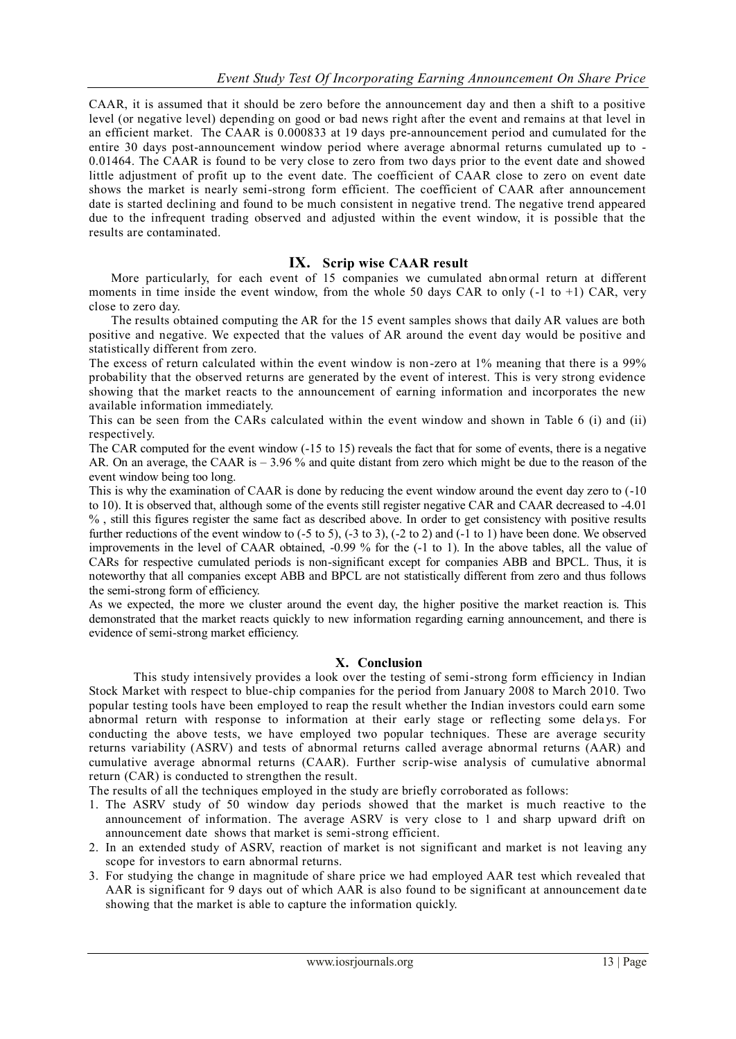CAAR, it is assumed that it should be zero before the announcement day and then a shift to a positive level (or negative level) depending on good or bad news right after the event and remains at that level in an efficient market. The CAAR is 0.000833 at 19 days pre-announcement period and cumulated for the entire 30 days post-announcement window period where average abnormal returns cumulated up to - 0.01464. The CAAR is found to be very close to zero from two days prior to the event date and showed little adjustment of profit up to the event date. The coefficient of CAAR close to zero on event date shows the market is nearly semi-strong form efficient. The coefficient of CAAR after announcement date is started declining and found to be much consistent in negative trend. The negative trend appeared due to the infrequent trading observed and adjusted within the event window, it is possible that the results are contaminated.

### **IX. Scrip wise CAAR result**

More particularly, for each event of 15 companies we cumulated abn ormal return at different moments in time inside the event window, from the whole 50 days CAR to only  $(-1 \text{ to } +1)$  CAR, very close to zero day.

The results obtained computing the AR for the 15 event samples shows that daily AR values are both positive and negative. We expected that the values of AR around the event day would be positive and statistically different from zero.

The excess of return calculated within the event window is non-zero at 1% meaning that there is a 99% probability that the observed returns are generated by the event of interest. This is very strong evidence showing that the market reacts to the announcement of earning information and incorporates the new available information immediately.

This can be seen from the CARs calculated within the event window and shown in Table 6 (i) and (ii) respectively.

The CAR computed for the event window (-15 to 15) reveals the fact that for some of events, there is a negative AR. On an average, the CAAR is – 3.96 % and quite distant from zero which might be due to the reason of the event window being too long.

This is why the examination of CAAR is done by reducing the event window around the event day zero to (-10 to 10). It is observed that, although some of the events still register negative CAR and CAAR decreased to -4.01 % , still this figures register the same fact as described above. In order to get consistency with positive results further reductions of the event window to  $(-5 \text{ to } 5)$ ,  $(-3 \text{ to } 3)$ ,  $(-2 \text{ to } 2)$  and  $(-1 \text{ to } 1)$  have been done. We observed improvements in the level of CAAR obtained, -0.99 % for the (-1 to 1). In the above tables, all the value of CARs for respective cumulated periods is non-significant except for companies ABB and BPCL. Thus, it is noteworthy that all companies except ABB and BPCL are not statistically different from zero and thus follows the semi-strong form of efficiency.

As we expected, the more we cluster around the event day, the higher positive the market reaction is. This demonstrated that the market reacts quickly to new information regarding earning announcement, and there is evidence of semi-strong market efficiency.

#### **X. Conclusion**

This study intensively provides a look over the testing of semi-strong form efficiency in Indian Stock Market with respect to blue-chip companies for the period from January 2008 to March 2010. Two popular testing tools have been employed to reap the result whether the Indian investors could earn some abnormal return with response to information at their early stage or reflecting some dela ys. For conducting the above tests, we have employed two popular techniques. These are average security returns variability (ASRV) and tests of abnormal returns called average abnormal returns (AAR) and cumulative average abnormal returns (CAAR). Further scrip-wise analysis of cumulative abnormal return (CAR) is conducted to strengthen the result.

The results of all the techniques employed in the study are briefly corroborated as follows:

- 1. The ASRV study of 50 window day periods showed that the market is much reactive to the announcement of information. The average ASRV is very close to 1 and sharp upward drift on announcement date shows that market is semi-strong efficient.
- 2. In an extended study of ASRV, reaction of market is not significant and market is not leaving any scope for investors to earn abnormal returns.
- 3. For studying the change in magnitude of share price we had employed AAR test which revealed that AAR is significant for 9 days out of which AAR is also found to be significant at announcement date showing that the market is able to capture the information quickly.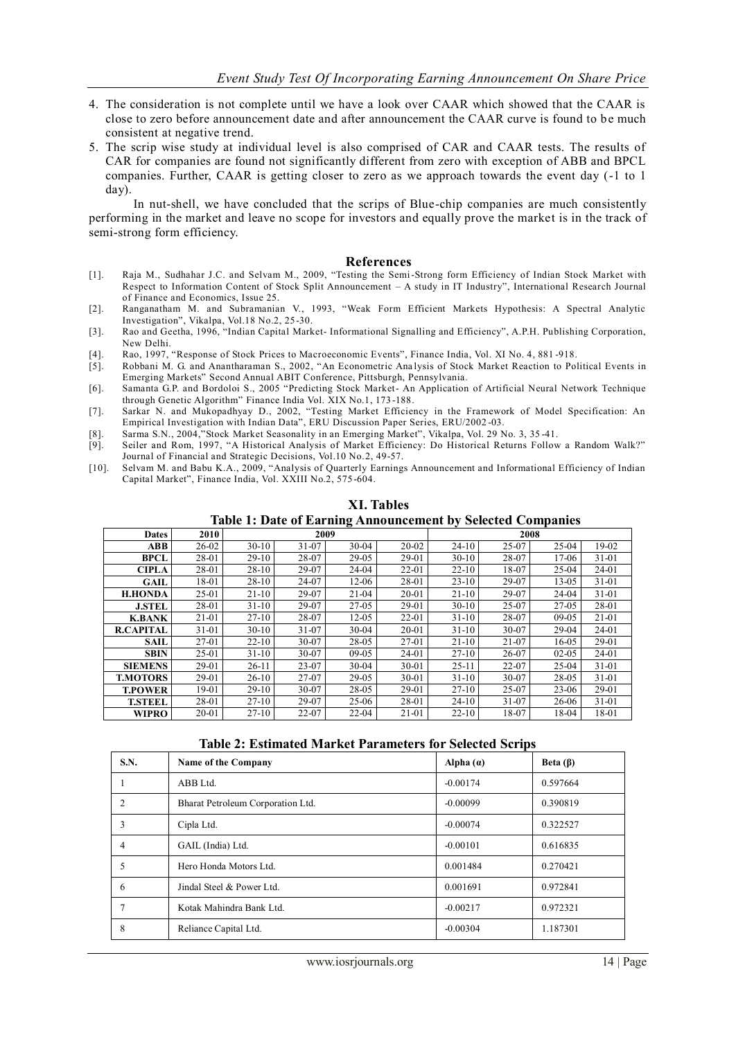- 4. The consideration is not complete until we have a look over CAAR which showed that the CAAR is close to zero before announcement date and after announcement the CAAR curve is found to be much consistent at negative trend.
- 5. The scrip wise study at individual level is also comprised of CAR and CAAR tests. The results of CAR for companies are found not significantly different from zero with exception of ABB and BPCL companies. Further, CAAR is getting closer to zero as we approach towards the event day (-1 to 1 day).

In nut-shell, we have concluded that the scrips of Blue-chip companies are much consistently performing in the market and leave no scope for investors and equally prove the market is in the track of semi-strong form efficiency.

#### **References**

- [1]. Raja M., Sudhahar J.C. and Selvam M., 2009, "Testing the Semi-Strong form Efficiency of Indian Stock Market with Respect to Information Content of Stock Split Announcement – A study in IT Industry", International Research Journal of Finance and Economics, Issue 25.
- [2]. Ranganatham M. and Subramanian V., 1993, "Weak Form Efficient Markets Hypothesis: A Spectral Analytic Investigation", Vikalpa, Vol.18 No.2, 25-30.
- [3]. Rao and Geetha, 1996, "Indian Capital Market- Informational Signalling and Efficiency", A.P.H. Publishing Corporation, New Delhi.
- [4]. Rao, 1997, "Response of Stock Prices to Macroeconomic Events", Finance India, Vol. XI No. 4, 881 -918.
- [5]. Robbani M. G. and Anantharaman S., 2002, "An Econometric Ana lysis of Stock Market Reaction to Political Events in Emerging Markets" Second Annual ABIT Conference, Pittsburgh, Pennsylvania.
- [6]. Samanta G.P. and Bordoloi S., 2005 "Predicting Stock Market- An Application of Artificial Neural Network Technique through Genetic Algorithm" Finance India Vol. XIX No.1, 173 -188.
- [7]. Sarkar N. and Mukopadhyay D., 2002, "Testing Market Efficiency in the Framework of Model Specification: An Empirical Investigation with Indian Data", ERU Discussion Paper Series, ERU/2002 -03.
- [8]. Sarma S.N., 2004,"Stock Market Seasonality in an Emerging Market", Vikalpa, Vol. 29 No. 3, 35 -41.
- [9]. Seiler and Rom, 1997, "A Historical Analysis of Market Efficiency: Do Historical Returns Follow a Random Walk?" Journal of Financial and Strategic Decisions, Vol.10 No.2, 49-57.
- [10]. Selvam M. and Babu K.A., 2009, "Analysis of Quarterly Earnings Announcement and Informational Efficiency of Indian Capital Market", Finance India, Vol. XXIII No.2, 575 -604.

| Table 1: Date of Earling Announcement by Selected Companies |       |           |       |           |           |           |           |           |       |
|-------------------------------------------------------------|-------|-----------|-------|-----------|-----------|-----------|-----------|-----------|-------|
| <b>Dates</b>                                                | 2010  | 2009      |       |           |           | 2008      |           |           |       |
| <b>ABB</b>                                                  | 26-02 | $30-10$   | 31-07 | $30 - 04$ | $20 - 02$ | $24-10$   | 25-07     | 25-04     | 19-02 |
| <b>BPCL</b>                                                 | 28-01 | $29-10$   | 28-07 | 29-05     | 29-01     | $30-10$   | 28-07     | 17-06     | 31-01 |
| <b>CIPLA</b>                                                | 28-01 | $28-10$   | 29-07 | 24-04     | $22 - 01$ | $22-10$   | 18-07     | 25-04     | 24-01 |
| GAIL                                                        | 18-01 | $28-10$   | 24-07 | $12-06$   | 28-01     | $23-10$   | 29-07     | $13-0.5$  | 31-01 |
| <b>H.HONDA</b>                                              | 25-01 | $21-10$   | 29-07 | $21-04$   | $20 - 01$ | $21-10$   | 29-07     | 24-04     | 31-01 |
| <b>J.STEL</b>                                               | 28-01 | $31-10$   | 29-07 | 27-05     | 29-01     | $30-10$   | $25-07$   | 27-05     | 28-01 |
| <b>K.BANK</b>                                               | 21-01 | $27-10$   | 28-07 | $12 - 05$ | $22 - 01$ | $31-10$   | 28-07     | $09-05$   | 21-01 |
| <b>R.CAPITAL</b>                                            | 31-01 | $30-10$   | 31-07 | $30 - 04$ | 20-01     | $31-10$   | 30-07     | 29-04     | 24-01 |
| <b>SAIL</b>                                                 | 27-01 | $22 - 10$ | 30-07 | 28-05     | 27-01     | $21-10$   | 21-07     | 16-05     | 29-01 |
| <b>SBIN</b>                                                 | 25-01 | $31-10$   | 30-07 | $09-05$   | 24-01     | $27-10$   | 26-07     | $02 - 05$ | 24-01 |
| <b>SIEMENS</b>                                              | 29-01 | $26-11$   | 23-07 | $30 - 04$ | $30 - 01$ | $25-11$   | 22-07     | 25-04     | 31-01 |
| <b>T.MOTORS</b>                                             | 29-01 | $26-10$   | 27-07 | 29-05     | $30 - 01$ | $31-10$   | $30 - 07$ | 28-05     | 31-01 |
| <b>T.POWER</b>                                              | 19-01 | $29-10$   | 30-07 | 28-05     | 29-01     | $27-10$   | 25-07     | 23-06     | 29-01 |
| <b>T.STEEL</b>                                              | 28-01 | $27-10$   | 29-07 | 25-06     | 28-01     | $24-10$   | 31-07     | 26-06     | 31-01 |
| <b>WIPRO</b>                                                | 20-01 | $27-10$   | 22-07 | $22 - 04$ | $21-01$   | $22 - 10$ | 18-07     | 18-04     | 18-01 |

**XI. Tables Table 1: Date of Earning Announcement by Selected Companies**

**Table 2: Estimated Market Parameters for Selected Scrips**

| S.N. | Name of the Company               | Alpha $(a)$ | Beta $(\beta)$ |
|------|-----------------------------------|-------------|----------------|
|      | ABB Ltd.                          | $-0.00174$  | 0.597664       |
| 2    | Bharat Petroleum Corporation Ltd. | $-0.00099$  | 0.390819       |
| 3    | Cipla Ltd.                        | $-0.00074$  | 0.322527       |
| 4    | GAIL (India) Ltd.                 | $-0.00101$  | 0.616835       |
|      | Hero Honda Motors Ltd.            | 0.001484    | 0.270421       |
| 6    | Jindal Steel & Power Ltd.         | 0.001691    | 0.972841       |
|      | Kotak Mahindra Bank Ltd.          | $-0.00217$  | 0.972321       |
| 8    | Reliance Capital Ltd.             | $-0.00304$  | 1.187301       |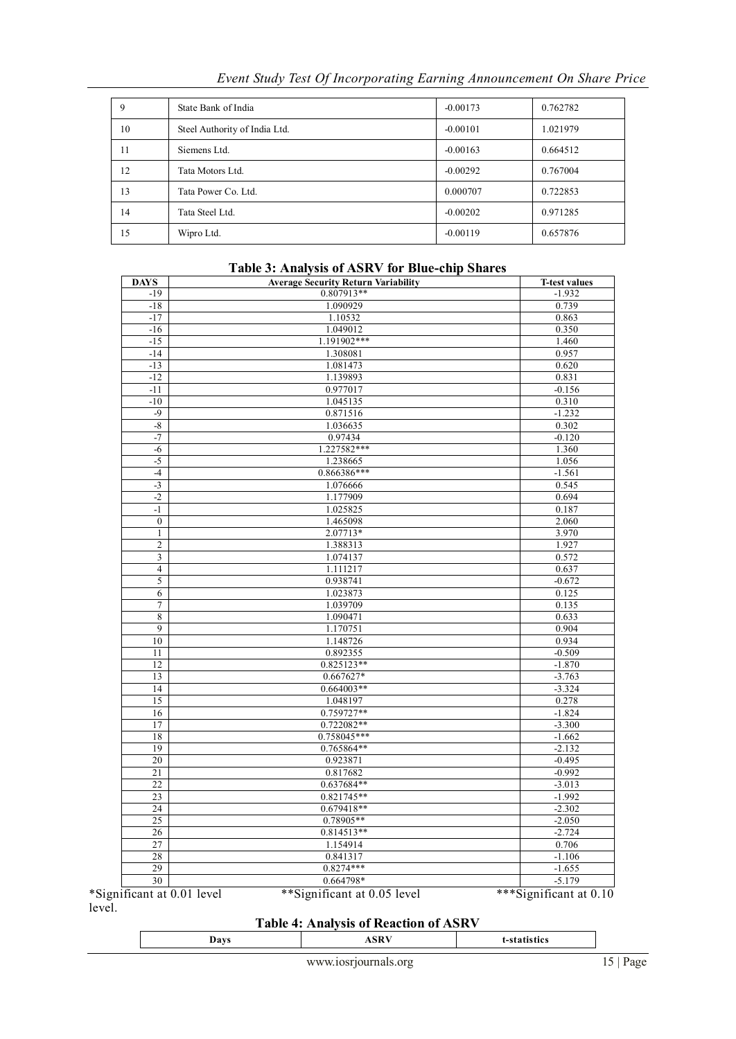| 9  | State Bank of India           | $-0.00173$ | 0.762782 |
|----|-------------------------------|------------|----------|
| 10 | Steel Authority of India Ltd. | $-0.00101$ | 1.021979 |
| 11 | Siemens Ltd.                  | $-0.00163$ | 0.664512 |
| 12 | Tata Motors Ltd.              | $-0.00292$ | 0.767004 |
| 13 | Tata Power Co. Ltd.           | 0.000707   | 0.722853 |
| 14 | Tata Steel Ltd.               | $-0.00202$ | 0.971285 |
| 15 | Wipro Ltd.                    | $-0.00119$ | 0.657876 |

*Event Study Test Of Incorporating Earning Announcement On Share Price* 

### **Table 3: Analysis of ASRV for Blue-chip Shares**

| <b>DAYS</b>                | <b>Average Security Return Variability</b> | <b>T-test values</b>   |
|----------------------------|--------------------------------------------|------------------------|
| $-19$                      | 0.807913**                                 | $-1.932$               |
| $-18$                      | 1.090929                                   | 0.739                  |
| $-17$                      | 1.10532                                    | 0.863                  |
| $-16$                      | 1.049012                                   | 0.350                  |
| $-15$                      | 1.191902***                                | 1.460                  |
| $-14$                      | 1.308081                                   | 0.957                  |
| $-13$                      | 1.081473                                   | 0.620                  |
| $-12$                      | 1.139893                                   | 0.831                  |
| $-11$                      | 0.977017                                   | $-0.156$               |
| $-10$                      | 1.045135                                   | 0.310                  |
| $-9$                       | 0.871516                                   | $-1.232$               |
| $-8$                       | 1.036635                                   | 0.302                  |
| $-7$                       | 0.97434                                    | $-0.120$               |
| $-6$                       | 1.227582***                                | 1.360                  |
| $-5$                       | 1.238665                                   | 1.056                  |
| $-4$                       | 0.866386***                                | $-1.561$               |
| $-3$                       | 1.076666                                   | 0.545                  |
| $-2$                       | 1.177909                                   | 0.694                  |
| $-1$                       | 1.025825                                   | 0.187                  |
| $\boldsymbol{0}$           | 1.465098                                   | 2.060                  |
| $\mathbf{1}$               | 2.07713*                                   | 3.970                  |
| $\overline{c}$             | 1.388313                                   | 1.927                  |
| 3                          | 1.074137                                   | 0.572                  |
| $\overline{4}$             | 1.111217                                   | 0.637                  |
| 5                          | 0.938741                                   | $-0.672$               |
| 6                          | 1.023873                                   | 0.125                  |
| $\tau$                     | 1.039709                                   | 0.135                  |
| 8                          | 1.090471                                   | 0.633                  |
| 9                          | 1.170751                                   | 0.904                  |
| 10                         | 1.148726                                   | 0.934                  |
| 11                         | 0.892355                                   | $-0.509$               |
| 12                         | $0.825123**$                               | $-1.870$               |
| 13                         | $0.667627*$                                | $-3.763$               |
| 14                         | $0.664003**$                               | $-3.324$               |
| 15                         | 1.048197                                   | 0.278                  |
| 16                         | 0.759727**                                 | $-1.824$               |
| 17                         | 0.722082**                                 | $-3.300$               |
| 18                         | 0.758045***                                | $-1.662$               |
| 19                         | 0.765864**                                 | $-2.132$               |
| 20                         | 0.923871                                   | $-0.495$               |
| 21                         | 0.817682                                   | $-0.992$               |
| 22                         | 0.637684**                                 | $-3.013$               |
| 23                         | 0.821745**                                 | $-1.992$               |
| 24                         | $0.679418**$                               | $-2.302$               |
| 25                         | $0.78905**$                                | $-2.050$               |
| 26                         | $0.814513**$                               | $-2.724$               |
| 27                         | 1.154914                                   | 0.706                  |
| 28                         | 0.841317                                   | $-1.106$               |
| 29                         | $0.8274***$                                | $-1.655$               |
| 30                         | 0.664798*                                  | $-5.179$               |
| *Significant at 0.01 level | **Significant at 0.05 level                | ***Significant at 0.10 |

level.

### **Table 4: Analysis of Reaction of ASRV**

| ASK <sup>®</sup><br><br>va. |
|-----------------------------|
|-----------------------------|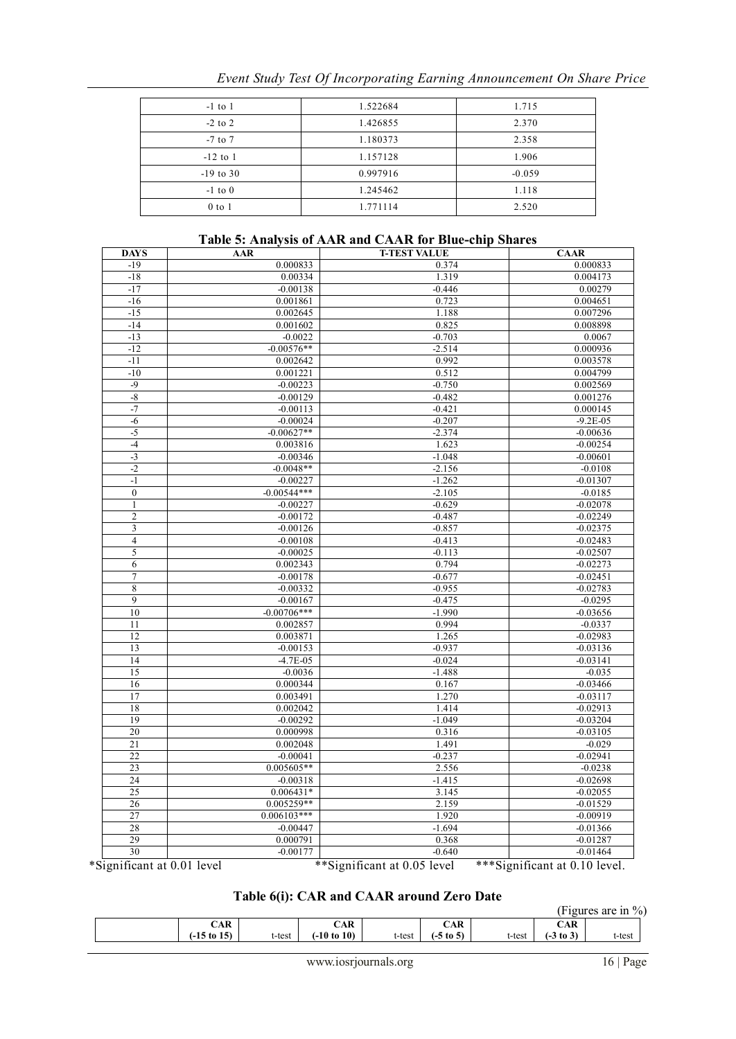| $-1$ to $1$ | 1.522684 | 1.715    |
|-------------|----------|----------|
| $-2$ to 2   | 1.426855 | 2.370    |
| $-7$ to $7$ | 1.180373 | 2.358    |
| $-12$ to 1  | 1.157128 | 1.906    |
| $-19$ to 30 | 0.997916 | $-0.059$ |
| $-1$ to $0$ | 1.245462 | 1.118    |
| $0$ to $1$  | 1.771114 | 2.520    |

## **Table 5: Analysis of AAR and CAAR for Blue-chip Shares**

| <b>DAYS</b>             | <b>AAR</b>    | <b>T-TEST VALUE</b> | <b>CAAR</b>              |
|-------------------------|---------------|---------------------|--------------------------|
| $-19$                   | 0.000833      | 0.374               | 0.000833                 |
| $-18$                   | 0.00334       | 1.319               | 0.004173                 |
| $-17$                   | $-0.00138$    | $-0.446$            | 0.00279                  |
| $-16$                   | 0.001861      | 0.723               | 0.004651                 |
| $-15$                   | 0.002645      | 1.188               | 0.007296                 |
| $-14$                   | 0.001602      | 0.825               | 0.008898                 |
| $-13$                   | $-0.0022$     | $-0.703$            | 0.0067                   |
| $-12$                   | $-0.00576**$  | $-2.514$            | 0.000936                 |
| $-11$                   | 0.002642      | 0.992               | 0.003578                 |
| $-10$                   | 0.001221      | 0.512               | 0.004799                 |
| $-9$                    | $-0.00223$    | $-0.750$            | 0.002569                 |
| $-8$                    | $-0.00129$    | $-0.482$            | 0.001276                 |
| $-7$                    | $-0.00113$    | $-0.421$            | 0.000145                 |
| $-6$                    | $-0.00024$    | $-0.207$            | $-9.2E - 05$             |
| $-5$                    | $-0.00627**$  | $-2.374$            | $-0.00636$               |
| $-4$                    | 0.003816      | 1.623               | $-0.00254$               |
| $-3$                    | $-0.00346$    | $-1.048$            | $-0.00601$               |
| $-2$                    | $-0.0048**$   | $-2.156$            | $-0.0108$                |
| $-1$                    | $-0.00227$    | $-1.262$            | $-0.01307$               |
| $\mathbf{0}$            | $-0.00544***$ | $-2.105$            | $-0.0185$                |
| $\mathbf{1}$            | $-0.00227$    | $-0.629$            | $-0.02078$               |
| $\overline{c}$          | $-0.00172$    | $-0.487$            | $-0.02249$               |
| $\overline{\mathbf{3}}$ | $-0.00126$    | $-0.857$            | $-0.02375$               |
| $\overline{4}$          | $-0.00108$    | $-0.413$            | $-0.02483$               |
| $\sqrt{5}$              | $-0.00025$    | $-0.113$            | $-0.02507$               |
| 6                       | 0.002343      | 0.794               | $-0.02273$               |
| $\tau$                  | $-0.00178$    | $-0.677$            | $-0.02451$               |
| $\,$ 8 $\,$             | $-0.00332$    | $-0.955$            | $-0.02783$               |
| 9                       | $-0.00167$    | $-0.475$            | $-0.0295$                |
| 10                      | $-0.00706***$ | $-1.990$            | $-0.03656$               |
| 11                      | 0.002857      | 0.994               | $-0.0337$                |
| 12                      | 0.003871      | 1.265               | $-0.02983$               |
| 13                      | $-0.00153$    | $-0.937$            | $-0.03136$               |
| 14                      | $-4.7E - 05$  | $-0.024$            | $-0.03141$               |
| 15                      | $-0.0036$     | $-1.488$            | $-0.035$                 |
| 16                      | 0.000344      | 0.167               | $-0.03466$               |
| 17                      | 0.003491      | 1.270               | $-0.03117$               |
| 18                      | 0.002042      | 1.414               | $-0.02913$               |
| 19                      | $-0.00292$    | $-1.049$            | $-0.03204$               |
| 20                      | 0.000998      | 0.316               | $-0.03105$               |
| 21                      | 0.002048      | 1.491               | $-0.029$                 |
| 22                      | $-0.00041$    | $-0.237$            | $-0.02941$               |
| 23                      | $0.005605**$  | 2.556               | $-0.0238$                |
|                         |               |                     |                          |
| 24                      | $-0.00318$    | $-1.415$            | $-0.02698$               |
| 25                      | $0.006431*$   | 3.145               | $-0.02055$               |
| 26                      | 0.005259**    | 2.159               | $-0.01529$               |
| 27                      | $0.006103***$ | 1.920               | $-0.00919$               |
| 28                      | $-0.00447$    | $-1.694$            | $-0.01366$               |
| 29                      | 0.000791      | 0.368<br>$-0.640$   | $-0.01287$<br>$-0.01464$ |
| 30                      | $-0.00177$    |                     |                          |

## **Table 6(i): CAR and CAAR around Zero Date**

| (Figures are in $\%$ ) |                        |        |                        |        |                      |        |             |        |  |
|------------------------|------------------------|--------|------------------------|--------|----------------------|--------|-------------|--------|--|
|                        | CAR                    |        | CAR                    |        | CAR                  |        | CAR         |        |  |
|                        | $(-15 \text{ to } 15)$ | t-test | $(-10 \text{ to } 10)$ | t-test | $(-5 \text{ to } 5)$ | t-test | $(-3 to 3)$ | t-test |  |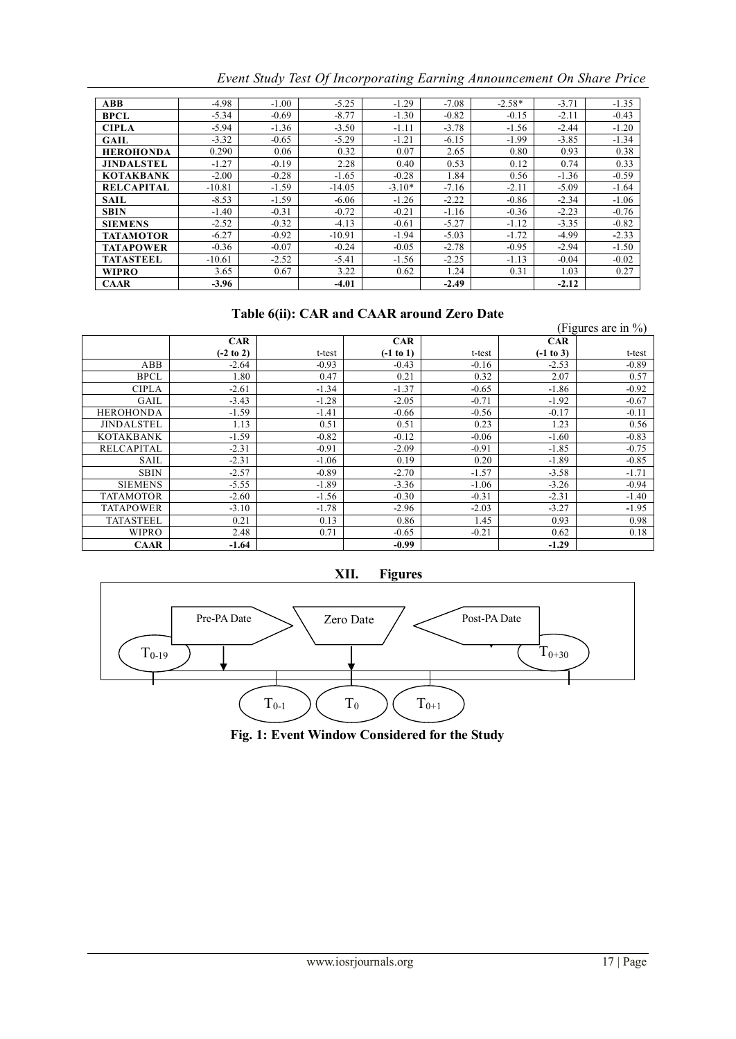| <b>ABB</b>        | $-4.98$  | $-1.00$ | $-5.25$  | $-1.29$  | $-7.08$ | $-2.58*$ | $-3.71$ | $-1.35$ |
|-------------------|----------|---------|----------|----------|---------|----------|---------|---------|
| <b>BPCL</b>       | $-5.34$  | $-0.69$ | $-8.77$  | $-1.30$  | $-0.82$ | $-0.15$  | $-2.11$ | $-0.43$ |
| <b>CIPLA</b>      | $-5.94$  | $-1.36$ | $-3.50$  | $-1.11$  | $-3.78$ | $-1.56$  | $-2.44$ | $-1.20$ |
| <b>GAIL</b>       | $-3.32$  | $-0.65$ | $-5.29$  | $-1.21$  | $-6.15$ | $-1.99$  | $-3.85$ | $-1.34$ |
| <b>HEROHONDA</b>  | 0.290    | 0.06    | 0.32     | 0.07     | 2.65    | 0.80     | 0.93    | 0.38    |
| <b>JINDALSTEL</b> | $-1.27$  | $-0.19$ | 2.28     | 0.40     | 0.53    | 0.12     | 0.74    | 0.33    |
| <b>KOTAKBANK</b>  | $-2.00$  | $-0.28$ | $-1.65$  | $-0.28$  | 1.84    | 0.56     | $-1.36$ | $-0.59$ |
| <b>RELCAPITAL</b> | $-10.81$ | $-1.59$ | $-14.05$ | $-3.10*$ | $-7.16$ | $-2.11$  | $-5.09$ | $-1.64$ |
| <b>SAIL</b>       | $-8.53$  | $-1.59$ | $-6.06$  | $-1.26$  | $-2.22$ | $-0.86$  | $-2.34$ | $-1.06$ |
| <b>SBIN</b>       | $-1.40$  | $-0.31$ | $-0.72$  | $-0.21$  | $-1.16$ | $-0.36$  | $-2.23$ | $-0.76$ |
| <b>SIEMENS</b>    | $-2.52$  | $-0.32$ | $-4.13$  | $-0.61$  | $-5.27$ | $-1.12$  | $-3.35$ | $-0.82$ |
| <b>TATAMOTOR</b>  | $-6.27$  | $-0.92$ | $-10.91$ | $-1.94$  | $-5.03$ | $-1.72$  | $-4.99$ | $-2.33$ |
| <b>TATAPOWER</b>  | $-0.36$  | $-0.07$ | $-0.24$  | $-0.05$  | $-2.78$ | $-0.95$  | $-2.94$ | $-1.50$ |
| <b>TATASTEEL</b>  | $-10.61$ | $-2.52$ | $-5.41$  | $-1.56$  | $-2.25$ | $-1.13$  | $-0.04$ | $-0.02$ |
| <b>WIPRO</b>      | 3.65     | 0.67    | 3.22     | 0.62     | 1.24    | 0.31     | 1.03    | 0.27    |
| <b>CAAR</b>       | $-3.96$  |         | $-4.01$  |          | $-2.49$ |          | $-2.12$ |         |

*Event Study Test Of Incorporating Earning Announcement On Share Price* 

### **Table 6(ii): CAR and CAAR around Zero Date**

|                   |                      | Table v(II). CAIX and CAAIX around <i>E</i> xt o Date |             |         |             |                        |
|-------------------|----------------------|-------------------------------------------------------|-------------|---------|-------------|------------------------|
|                   |                      |                                                       |             |         |             | (Figures are in $\%$ ) |
|                   | <b>CAR</b>           |                                                       | <b>CAR</b>  |         | <b>CAR</b>  |                        |
|                   | $(-2 \text{ to } 2)$ | t-test                                                | $(-1 to 1)$ | t-test  | $(-1 to 3)$ | t-test                 |
| ABB               | $-2.64$              | $-0.93$                                               | $-0.43$     | $-0.16$ | $-2.53$     | $-0.89$                |
| <b>BPCL</b>       | 1.80                 | 0.47                                                  | 0.21        | 0.32    | 2.07        | 0.57                   |
| <b>CIPLA</b>      | $-2.61$              | $-1.34$                                               | $-1.37$     | $-0.65$ | $-1.86$     | $-0.92$                |
| GAIL              | $-3.43$              | $-1.28$                                               | $-2.05$     | $-0.71$ | $-1.92$     | $-0.67$                |
| <b>HEROHONDA</b>  | $-1.59$              | $-1.41$                                               | $-0.66$     | $-0.56$ | $-0.17$     | $-0.11$                |
| <b>JINDALSTEL</b> | 1.13                 | 0.51                                                  | 0.51        | 0.23    | 1.23        | 0.56                   |
| <b>KOTAKBANK</b>  | $-1.59$              | $-0.82$                                               | $-0.12$     | $-0.06$ | $-1.60$     | $-0.83$                |
| <b>RELCAPITAL</b> | $-2.31$              | $-0.91$                                               | $-2.09$     | $-0.91$ | $-1.85$     | $-0.75$                |
| SAIL              | $-2.31$              | $-1.06$                                               | 0.19        | 0.20    | $-1.89$     | $-0.85$                |
| <b>SBIN</b>       | $-2.57$              | $-0.89$                                               | $-2.70$     | $-1.57$ | $-3.58$     | $-1.71$                |
| <b>SIEMENS</b>    | $-5.55$              | $-1.89$                                               | $-3.36$     | $-1.06$ | $-3.26$     | $-0.94$                |
| <b>TATAMOTOR</b>  | $-2.60$              | $-1.56$                                               | $-0.30$     | $-0.31$ | $-2.31$     | $-1.40$                |
| <b>TATAPOWER</b>  | $-3.10$              | $-1.78$                                               | $-2.96$     | $-2.03$ | $-3.27$     | $-1.95$                |
| <b>TATASTEEL</b>  | 0.21                 | 0.13                                                  | 0.86        | 1.45    | 0.93        | 0.98                   |
| <b>WIPRO</b>      | 2.48                 | 0.71                                                  | $-0.65$     | $-0.21$ | 0.62        | 0.18                   |
| <b>CAAR</b>       | -1.64                |                                                       | $-0.99$     |         | $-1.29$     |                        |





Fig. 1: Event Window Considered for the Study